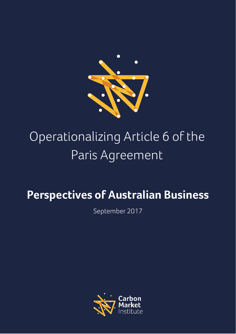

# Operationalizing Article 6 of the Paris Agreement

## **Perspectives of Australian Business**

September 2017

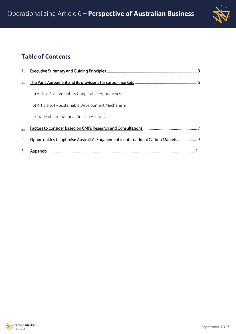

## **Table of Contents**

| 2. |                                                                                     |
|----|-------------------------------------------------------------------------------------|
|    | a) Article 6.2 - Voluntary Cooperative Approaches                                   |
|    | b) Article 6.4 - Sustainable Development Mechanism                                  |
|    | c) Trade of International Units in Australia                                        |
| 3. |                                                                                     |
| 4. | Opportunities to optimise Australia's Engagement in International Carbon Markets  9 |
| 5. |                                                                                     |

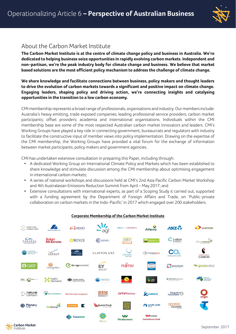

### About the Carbon Market Institute

**The Carbon Market Institute is at the centre of climate change policy and business in Australia. We're dedicated to helping business seize opportunities in rapidly evolving carbon markets. Independent and non-partisan, we're the peak industry body for climate change and business. We believe that market based solutions are the most efficient policy mechanism to address the challenge of climate change.** 

**We share knowledge and facilitate connections between business, policy makers and thought leaders to drive the evolution of carbon markets towards a significant and positive impact on climate change. Engaging leaders, shaping policy and driving action, we're connecting insights and catalysing opportunities in the transition to a low carbon economy.**

CMI membership represents a broad range of professionals, organisations and industry. Our members include: Australia's heavy emitting, trade exposed companies; leading professional service providers; carbon market participants; offset providers; academia and international organisations. Individuals within the CMI membership base are some of the most respected Australian carbon market innovators and leaders. CMI's Working Groups have played a key role in connecting government, bureaucrats and regulators with industry to facilitate the constructive input of member views into policy implementation. Drawing on the expertise of the CMI membership, the Working Groups have provided a vital forum for the exchange of information between market participants, policy makers and government agencies.

CMI has undertaken extensive consultation in preparing this Paper, including through:

- A dedicated Working Group on International Climate Policy and Markets which has been established to share knowledge and stimulate discussion among the CMI membership about optimising engagement in international carbon markets;
- A series of national workshops and discussions held at CMI's 2nd Asia Pacific Carbon Market Workshop and 4th Australasian Emissions Reduction Summit from April – May 2017; and
- Extensive consultations with international experts, as part of a Scoping Study it carried out, supported with a funding agreement by the Department of Foreign Affairs and Trade, on 'Public-private collaboration on carbon markets in the Indo-Pacific' in 2017 which engaged over 200 stakeholders.



#### **Corporate Membership of the Carbon Market Institute**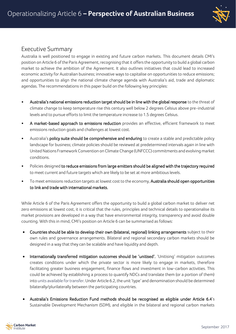

### Executive Summary

Australia is well positioned to engage in existing and future carbon markets. This document details CMI's position on Article 6 of the Paris Agreement, recognising that it offers the opportunity to build a global carbon market to achieve the ambition of the Agreement. It also outlines initiatives that could lead to increased economic activity for Australian business; innovative ways to capitalise on opportunities to reduce emissions; and opportunities to align the national climate change agenda with Australia's aid, trade and diplomatic agendas. The recommendations in this paper build on the following key principles:

- Australia's national emissions reduction target should be in line with the global response to the threat of climate change to keep temperature rise this century well below 2 degrees Celsius above pre-industrial levels and to pursue efforts to limit the temperature increase to 1.5 degrees Celsius.
- A market-based approach to emissions reduction provides an effective, efficient framework to meet emissions reduction goals and challenges at lowest cost.
- Australia's policy suite should be comprehensive and enduring to create a stable and predictable policy landscape for business; climate policies should be reviewed at predetermined intervals again in line with United Nations Framework Convention on Climate Change (UNFCCC) commitments and evolving market conditions.
- Policies designed to reduce emissions from large emitters should be aligned with the trajectory required to meet current and future targets which are likely to be set at more ambitious levels.
- To meet emissions reduction targets at lowest cost to the economy, Australia should open opportunities to link and trade with international markets.

While Article 6 of the Paris Agreement offers the opportunity to build a global carbon market to deliver net zero emissions at lowest cost, it is critical that the rules, principles and technical details to operationalise its market provisions are developed in a way that have environmental integrity, transparency and avoid double counting. With this in mind, CMI's position on Article 6 can be summarised as follows:

- Countries should be able to develop their own (bilateral, regional) linking arrangements subject to their own rules and governance arrangements. Bilateral and regional secondary carbon markets should be designed in a way that they can be scalable and have liquidity and depth.
- Internationally transferred mitigation outcomes should be 'unitised'. 'Unitising' mitigation outcomes creates conditions under which the private sector is more likely to engage in markets, therefore facilitating greater business engagement, finance flows and investment in low-carbon activities. This could be achieved by establishing a process to quantify NDCs and translate them (or a portion of them) into units available for transfer. Under Article 6.2, the unit 'type' and denomination should be determined bilaterally/plurilaterally between the participating countries.
- Australia's Emissions Reduction Fund methods should be recognised as eligible under Article 6.4's Sustainable Development Mechanism (SDM), and eligible in the bilateral and regional carbon markets

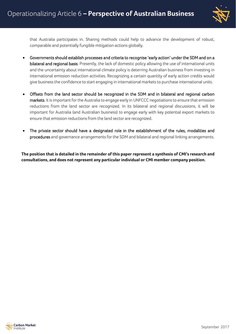

that Australia participates in. Sharing methods could help to advance the development of robust, comparable and potentially fungible mitigation actions globally.

- Governments should establish processes and criteria to recognise 'early action' under the SDM and on a bilateral and regional basis. Presently, the lack of domestic policy allowing the use of international units and the uncertainty about international climate policy is deterring Australian business from investing in international emission reduction activities. Recognizing a certain quantity of early action credits would give business the confidence to start engaging in international markets to purchase international units.
- Offsets from the land sector should be recognized in the SDM and in bilateral and regional carbon markets. It is important for the Australia to engage early in UNFCCC negotiations to ensure that emission reductions from the land sector are recognized. In its bilateral and regional discussions, it will be important for Australia (and Australian business) to engage early with key potential export markets to ensure that emission reductions from the land sector are recognized.
- The private sector should have a designated role in the establishment of the rules, modalities and procedures and governance arrangements for the SDM and bilateral and regional linking arrangements.

**The position that is detailed in the remainder of this paper represent a synthesis of CMI's research and consultations, and does not represent any particular individual or CMI member company position.** 

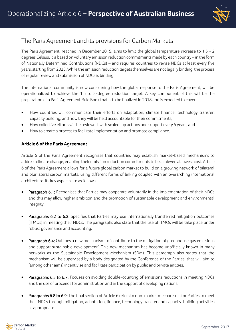

## The Paris Agreement and its provisions for Carbon Markets

The Paris Agreement, reached in December 2015, aims to limit the global temperature increase to 1.5 - 2 degrees Celsius. It is based on voluntary emission reduction commitments made by each country – in the form of Nationally Determined Contributions (NDCs) – and requires countries to revise NDCs at least every five years, starting from 2023. While the emission reduction targets themselves are not legally binding, the process of regular review and submission of NDCs is binding.

The international community is now considering how the global response to the Paris Agreement, will be operationalized to achieve the 1.5 to 2-degree reduction target. A key component of this will be the preparation of a Paris Agreement Rule Book that is to be finalized in 2018 and is expected to cover:

- How countries will communicate their efforts on adaptation, climate finance, technology transfer, capacity building, and how they will be held accountable for their commitments;
- How collective efforts will be reviewed, with scaled-up actions and support every 5 years; and
- How to create a process to facilitate implementation and promote compliance.

#### **Article 6 of the Paris Agreement**

Article 6 of the Paris Agreement recognizes that countries may establish market-based mechanisms to address climate change, enabling their emission reduction commitments to be achieved at lowest cost. Article 6 of the Paris Agreement allows for a future global carbon market to build on a growing network of bilateral and plurilateral carbon markets, using different forms of linking coupled with an overarching international architecture. Its key aspects are as follows:

- Paragraph 6.1: Recognises that Parties may cooperate voluntarily in the implementation of their NDCs and this may allow higher ambition and the promotion of sustainable development and environmental integrity.
- Paragraphs 6.2 to 6.3: Specifies that Parties may use internationally transferred mitigation outcomes (ITMOs) in meeting their NDCs. The paragraphs also state that the use of ITMOs will be take place under robust governance and accounting.
- Paragraph 6.4: Outlines a new mechanism to 'contribute to the mitigation of greenhouse gas emissions and support sustainable development'. This new mechanism has become unofficially known in many networks as the Sustainable Development Mechanism (SDM). This paragraph also states that the mechanism will be supervised by a body designated by the Conference of the Parties, that will aim to (among other aims) incentivise and facilitate participation by public and private entities.
- Paragraphs 6.5 to 6.7: Focuses on avoiding double-counting of emissions reductions in meeting NDCs and the use of proceeds for administration and in the support of developing nations.
- Paragraphs 6.8 to 6.9: The final section of Article 6 refers to non-market mechanisms for Parties to meet their NDCs through mitigation, adaptation, finance, technology transfer and capacity-building activities as appropriate.

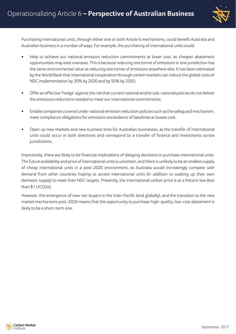

Purchasing international units, through either one or both Article 6 mechanisms, could benefit Australia and Australian business in a number of ways. For example, the purchasing of international units could:

- Help to achieve our national emission reduction commitments at lower cost, as cheaper abatement opportunities may exist overseas. This is because reducing one tonne of emissions in one jurisdiction has the same environmental value as reducing one tonne of emissions anywhere else. It has been estimated by the World Bank that international cooperation through carbon markets can reduce the global costs of NDC implementation by 30% by 2030 and by 50% by 2050;
- Offer an effective 'hedge' against the risk that current national and/or sub-national policies do not deliver the emissions reductions needed to meet our international commitments;
- Enable companies covered under national emission reduction policies such as the safeguard mechanism, meet compliance obligations for emissions exceedance of baselines at lowest cost.
- Open up new markets and new business lines for Australian businesses, as the transfer of international units could occur in both directions and correspond to a transfer of finance and investments across jurisdictions.

Importantly, there are likely to be financial implications of delaying decisions to purchase international units. The future availability and price of international units is uncertain, and there is unlikely to be an endless supply of cheap international units in a post-2020 environment, as Australia would increasingly compete with demand from other countries hoping to access international units (in addition to soaking up their own domestic supply) to meet their NDC targets. Presently, the international carbon price is at a historic low (less than \$1 t/CO2e).

However, the emergence of new net-buyers in the Indo-Pacific (and globally), and the transition to the new market mechanisms post-2020 means that the opportunity to purchase high-quality, low-cost abatement is likely to be a short-term one.

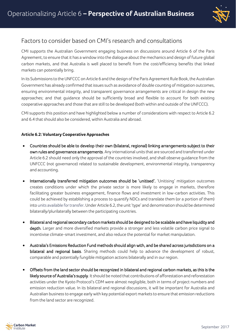

#### Factors to consider based on CMI's research and consultations

CMI supports the Australian Government engaging business on discussions around Article 6 of the Paris Agreement, to ensure that it has a window into the dialogue about the mechanics and design of future global carbon markets, and that Australia is well placed to benefit from the cost/efficiency benefits that linked markets can potentially bring.

In its Submissionsto the UNFCCC on Article 6 and the design of the Paris Agreement Rule Book, the Australian Government has already confirmed that issues such as avoidance of double counting of mitigation outcomes, ensuring environmental integrity, and transparent governance arrangements are critical in design the new approaches; and that guidance should be sufficiently broad and flexible to account for both existing cooperative approaches and those that are still to be developed (both within and outside of the UNFCCC).

CMI supports this position and have highlighted below a number of considerations with respect to Article 6.2 and 6.4 that should also be considered, within Australia and abroad.

#### **Article 6.2: Voluntary Cooperative Approaches**

- Countries should be able to develop their own (bilateral, regional) linking arrangements subject to their own rules and governance arrangements. Any international units that are sourced and transferred under Article 6.2 should need only the approval of the countries involved, and shall observe guidance from the UNFCCC (not governance) related to sustainable development, environmental integrity, transparency and accounting.
- Internationally transferred mitigation outcomes should be 'unitised'. 'Unitising' mitigation outcomes creates conditions under which the private sector is more likely to engage in markets, therefore facilitating greater business engagement, finance flows and investment in low-carbon activities. This could be achieved by establishing a process to quantify NDCs and translate them (or a portion of them) into units available for transfer. Under Article 6.2, the unit 'type' and denomination should be determined bilaterally/plurilaterally between the participating countries.
- Bilateral and regional secondary carbon markets should be designed to be scalable and have liquidity and depth. Larger and more diversified markets provide a stronger and less volatile carbon price signal to incentivise climate-smart investment, and also reduce the potential for market manipulation.
- Australia's Emissions Reduction Fund methods should align with, and be shared across jurisdictions on a bilateral and regional basis. Sharing methods could help to advance the development of robust, comparable and potentially fungible mitigation actions bilaterally and in our region.
- Offsets from the land sector should be recognized in bilateral and regional carbon markets, as this is the likely source of Australia's supply. It should be noted that contributions of afforestation and reforestation activities under the Kyoto Protocol's CDM were almost negligible, both in terms of project numbers and emission reduction value. In its bilateral and regional discussions, it will be important for Australia and Australian business to engage early with key potential export markets to ensure that emission reductions from the land sector are recognized.

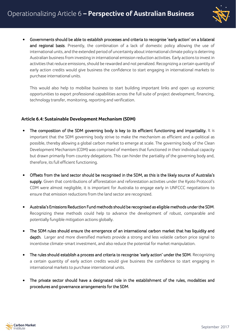

• Governments should be able to establish processes and criteria to recognise 'early action' on a bilateral and regional basis. Presently, the combination of a lack of domestic policy allowing the use of international units, and the extended period of uncertainty about international climate policy is deterring Australian business from investing in international emission reduction activities. Early actions to invest in activities that reduce emissions, should be rewarded and not penalized. Recognizing a certain quantity of early action credits would give business the confidence to start engaging in international markets to purchase international units.

This would also help to mobilise business to start building important links and open up economic opportunities to export professional capabilities across the full suite of project development, financing, technology transfer, monitoring, reporting and verification.

#### **Article 6.4: Sustainable Development Mechanism (SDM)**

- The composition of the SDM governing body is key to its efficient functioning and impartiality. It is important that the SDM governing body strive to make the mechanism as efficient and a-political as possible, thereby allowing a global carbon market to emerge at scale. The governing body of the Clean Development Mechanism (CDM) was comprised of members that functioned in their individual capacity but drawn primarily from country delegations. This can hinder the partiality of the governing body and, therefore, its full efficient functioning.
- Offsets from the land sector should be recognised in the SDM, as this is the likely source of Australia's supply. Given that contributions of afforestation and reforestation activities under the Kyoto Protocol's CDM were almost negligible, it is important for Australia to engage early in UNFCCC negotiations to ensure that emission reductions from the land sector are recognized.
- Australia's Emissions Reduction Fund methods should be recognised as eligible methods under the SDM. Recognizing these methods could help to advance the development of robust, comparable and potentially fungible mitigation actions globally.
- The SDM rules should ensure the emergence of an international carbon market that has liquidity and depth. Larger and more diversified markets provide a strong and less volatile carbon price signal to incentivise climate-smart investment, and also reduce the potential for market manipulation.
- The rules should establish a process and criteria to recognise 'early action' under the SDM. Recognizing a certain quantity of early action credits would give business the confidence to start engaging in international markets to purchase international units.
- The private sector should have a designated role in the establishment of the rules, modalities and procedures and governance arrangements for the SDM.

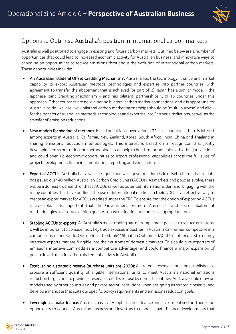

#### Options to Optimise Australia's position in International carbon markets

Australia is well positioned to engage in existing and future carbon markets. Outlined below are a number of opportunities that could lead to increased economic activity for Australian business, and innovative ways to capitalise on opportunities to reduce emissions throughout the evolution of international carbon markets. These opportunities include:

- An Australian 'Bilateral Offset Crediting Mechanism': Australia has the technology, finance and market capability to export Australian methods, technologies and expertise into partner countries, with agreement to transfer the abatement that is achieved (or part of it). Japan has a similar model - the Japanese Joint Crediting Mechanism – and has bilateral partnerships with 16 countries under this approach. Other countries are now initiating bilateral carbon market connections, and it is opportune for Australia to do likewise. New bilateral carbon market partnerships should be 'multi-purpose' and allow for the transfer of Australian methods, technologies and expertise into Partner jurisdictions, as well as the transfer of emission reductions.
- New models for sharing of methods: Based on initial conversations CMI has conducted, there is interest among experts in Australia, California, New Zealand, Korea, South Africa, India, China and Thailand in sharing emissions reduction methodologies. This interest is based on a recognition that jointly developing emissions reduction methodologies can help to build important links with other jurisdictions and could open up economic opportunities to export professional capabilities across the full suite of project development, financing, monitoring, reporting and verification.
- Export of ACCUs: Australia has a well-designed and well-governed domestic offset scheme that to date has issued over 40 million Australian Carbon Credit Units (ACCUs). As markets and policies evolve, there will be a domestic demand for these ACCUs as well as potential international demand. Engaging with the many countries that have outlined the use of international markets in their NDCs is an effective way to create an export market for ACCUs credited under the ERF. To ensure that the option of exporting ACCUs is available, it is important that the Government promote Australia's land sector abatement methodologies as a source of high quality, robust mitigation outcomes in appropriate fora.
- Stapling ACCUs to exports: As Australia's major trading partnersimplement policies to reduce emissions, it will be important to consider how key trade exposed industries in Australia can remain competitive in a carbon-constrained world. One option isto 'staple' Mitigation Outcomes (ACCUs or other units) to energy intensive exports that are fungible into their customers' domestic markets. This could give exporters of emissions intensive commodities a competitive advantage, and could finance a major expansion of private investment in carbon abatement activity in Australia.
- Establishing a strategic reserve (purchase units pre-2020): A strategic reserve should be established to procure a sufficient quantity of eligible international units to meet Australia's national emissions reduction target, and to provide a reserve of credits for use by domestic entities. Australia could draw on models used by other countries and private sector institutions when designing its strategic reserve, and develop a mandate that suits our specific policy requirements and emissions reduction goals.
- Leveraging climate finance: Australia has a very sophisticated finance and investment sector. There is an opportunity to connect Australian business and investors to global climate finance developments that

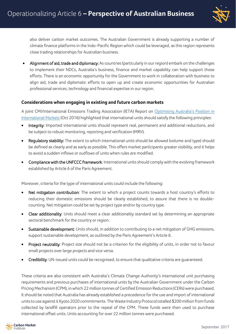

also deliver carbon market outcomes. The Australian Government is already supporting a number of climate finance platforms in the Indo-Pacific Region which could be leveraged, as this region represents close trading relationships for Australian business.

Alignment of aid, trade and diplomacy: As countries (particularly in our region) embark on the challenges to implement their NDCs, Australia's business, finance and market capability can help support those efforts. There is an economic opportunity for the Government to work in collaboration with business to align aid, trade and diplomatic efforts to open up and create economic opportunities for Australian professional services, technology and financial expertise in our region.

#### **Considerations when engaging in existing and future carbon markets**

A joint CMI/International Emissions Trading Association (IETA) Report on [Optimising Australia's Position in](http://carbonmarketinstitute.org/wp-content/uploads/2017/09/Report-Optimising-Australias-Position-in-International-Carbon-Markets-Oct-2016.pdf)  [International Markets](http://carbonmarketinstitute.org/wp-content/uploads/2017/09/Report-Optimising-Australias-Position-in-International-Carbon-Markets-Oct-2016.pdf) (Oct 2016) highlighted that international units should satisfy the following principles:

- Integrity: Imported international units should represent real, permanent and additional reductions, and be subject to robust monitoring, reporting and verification (MRV).
- Regulatory stability: The extent to which international units should be allowed (volume and type) should be defined as clearly and as early as possible. This offers market participants greater visibility, and it helps to avoid a sudden inflows or outflows of units when rules are modified.
- Compliance with the UNFCCC framework: International units should comply with the evolving framework established by Article 6 of the Paris Agreement.

Moreover, criteria for the type of international units could include the following:

- Net mitigation contribution: The extent to which a project counts towards a host country's efforts to reducing their domestic emissions should be clearly established, to assure that there is no doublecounting. Net mitigation could be set by project type and/or by country type.
- Clear additionality: Units should meet a clear additionality standard set by determining an appropriate sectoral benchmark for the country or region.
- Sustainable development: Units should, in addition to contributing to a net mitigation of GHG emissions, support sustainable development, as outlined by the Paris Agreement's Article 6.
- Project neutrality: Project size should not be a criterion for the eligibility of units, in order not to favour small projects over large projects and vice versa.
- Credibility: UN-issued units could be recognised, to ensure that qualitative criteria are guaranteed.

These criteria are also consistent with Australia's Climate Change Authority's international unit purchasing requirements and previous purchases of international units by the Australian Government under the Carbon Pricing Mechanism (CPM), in which 22 million tonnes of Certified Emission Reductions (CERs) were purchased. It should be noted that Australia has already established a precedence for the use and import of international units to use against it Kyoto 2020 commitments. The Waste Industry Protocol totalled \$200 million from funds collected by landfill operators prior to the repeal of the CPM. These funds were then used to purchase international offset units. Units accounting for over 22 million tonnes were purchased.

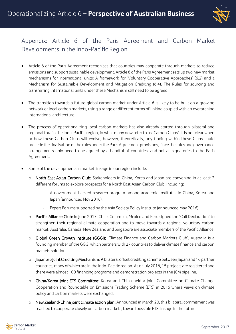

## Appendix: Article 6 of the Paris Agreement and Carbon Market Developments in the Indo-Pacific Region

- Article 6 of the Paris Agreement recognises that countries may cooperate through markets to reduce emissions and support sustainable development. Article 6 of the Paris Agreement sets up two new market mechanisms for international units: A framework for 'Voluntary Cooperative Approaches' (6.2) and a Mechanism for Sustainable Development and Mitigation Crediting (6.4). The Rules for sourcing and transferring international units under these Mechanism still need to be agreed.
- The transition towards a future global carbon market under Article 6 is likely to be built on a growing network of local carbon markets, using a range of different forms of linking coupled with an overarching international architecture.
- The process of operationalizing local carbon markets has also already started through bilateral and regional fora in the Indo-Pacific region, in what many now refer to as 'Carbon Clubs'. It is not clear when or how these Carbon Clubs will evolve, however, theoretically, any trading within these Clubs could precede the finalisation of the rules under the Paris Agreement provisions, since the rules and governance arrangements only need to be agreed by a handful of countries, and not all signatories to the Paris Agreement.
- Some of the developments in market linkage in our region include:
	- o North East Asian Carbon Club: Stakeholders in China, Korea and Japan are convening in at least 2 different forums to explore prospects for a North East Asian Carbon Club, including:
		- A government-backed research program among academic institutes in China, Korea and Japan (announced Nov 2016).
		- Expert Forums supported by the Asia Society Policy Institute (announced May 2016).
	- o Pacific Alliance Club: In June 2017, Chile, Colombia, Mexico and Peru signed the 'Cali Declaration' to strengthen their regional climate cooperation and to move towards a regional voluntary carbon market. Australia, Canada, New Zealand and Singapore are associate members of the Pacific Alliance.
	- o Global Green Growth Institute (GGGI): 'Climate Finance and Carbon Markets Club'. Australia is a founding member of the GGGI which partners with 27 countries to deliver climate finance and carbon markets solutions.
	- o Japanese Joint Crediting Mechanism: A bilateral offset crediting scheme between Japan and 16 partner countries, many of which are in the Indo-Pacific region. As of July 2016, 15 projects are registered and there were almost 100 financing programs and demonstration projects in the JCM pipeline.
	- o China/Korea Joint ETS Committee: Korea and China held a Joint Committee on Climate Change Cooperation and Roundtable on Emissions Trading Scheme (ETS) in 2016 where views on climate policy and carbon markets were exchanged.
	- o New Zealand/China joint climate action plan: Announced in March 20, this bilateral commitment was reached to cooperate closely on carbon markets, toward possible ETS linkage in the future.

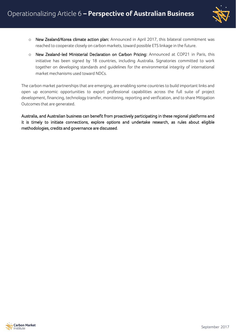

- o New Zealand/Korea climate action plan: Announced in April 2017, this bilateral commitment was reached to cooperate closely on carbon markets, toward possible ETS linkage in the future.
- o New Zealand-led Ministerial Declaration on Carbon Pricing: Announced at COP21 in Paris, this initiative has been signed by 18 countries, including Australia. Signatories committed to work together on developing standards and guidelines for the environmental integrity of international market mechanisms used toward NDCs.

The carbon market partnerships that are emerging, are enabling some countries to build important links and open up economic opportunities to export professional capabilities across the full suite of project development, financing, technology transfer, monitoring, reporting and verification, and to share Mitigation Outcomes that are generated.

Australia, and Australian business can benefit from proactively participating in these regional platforms and it is timely to initiate connections, explore options and undertake research, as rules about eligible methodologies, credits and governance are discussed.